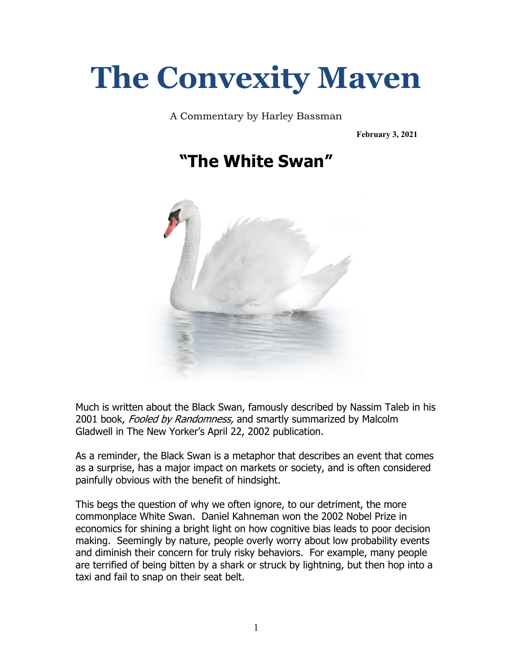## **The Convexity Maven**

A Commentary by Harley Bassman

**February 3, 2021**





Much is written about the Black Swan, famously described by Nassim Taleb in his 2001 book, Fooled by Randomness, and smartly summarized by Malcolm Gladwell in The New Yorker's April 22, 2002 publication.

As a reminder, the Black Swan is a metaphor that describes an event that comes as a surprise, has a major impact on markets or society, and is often considered painfully obvious with the benefit of hindsight.

This begs the question of why we often ignore, to our detriment, the more commonplace White Swan. Daniel Kahneman won the 2002 Nobel Prize in economics for shining a bright light on how cognitive bias leads to poor decision making. Seemingly by nature, people overly worry about low probability events and diminish their concern for truly risky behaviors. For example, many people are terrified of being bitten by a shark or struck by lightning, but then hop into a taxi and fail to snap on their seat belt.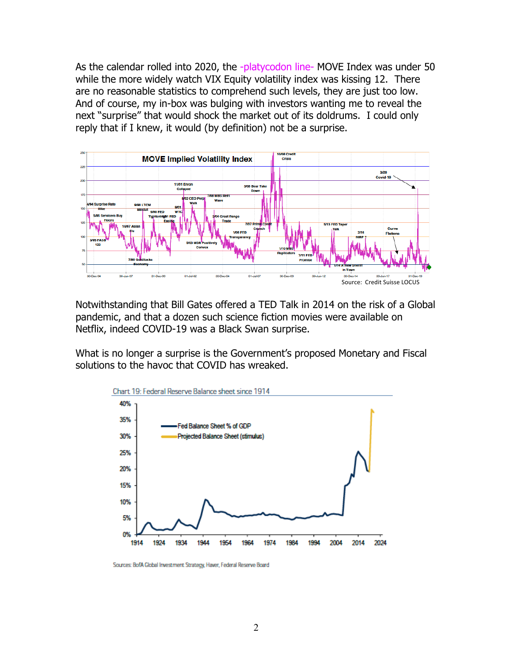As the calendar rolled into 2020, the -platycodon line- MOVE Index was under 50 while the more widely watch VIX Equity volatility index was kissing 12. There are no reasonable statistics to comprehend such levels, they are just too low. And of course, my in-box was bulging with investors wanting me to reveal the next "surprise" that would shock the market out of its doldrums. I could only reply that if I knew, it would (by definition) not be a surprise.



Notwithstanding that Bill Gates offered a TED Talk in 2014 on the risk of a Global pandemic, and that a dozen such science fiction movies were available on Netflix, indeed COVID-19 was a Black Swan surprise.

What is no longer a surprise is the Government's proposed Monetary and Fiscal solutions to the havoc that COVID has wreaked.



Sources: BofA Global Investment Strategy, Haver, Federal Reserve Board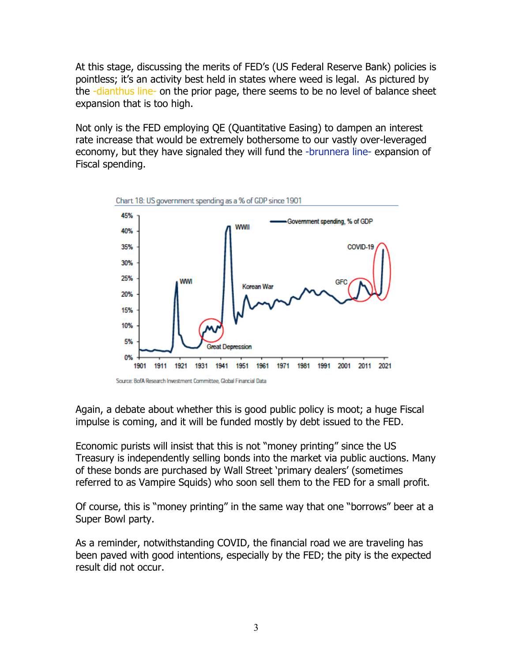At this stage, discussing the merits of FED's (US Federal Reserve Bank) policies is pointless; it's an activity best held in states where weed is legal. As pictured by the -dianthus line- on the prior page, there seems to be no level of balance sheet expansion that is too high.

Not only is the FED employing QE (Quantitative Easing) to dampen an interest rate increase that would be extremely bothersome to our vastly over-leveraged economy, but they have signaled they will fund the -brunnera line- expansion of Fiscal spending.



Again, a debate about whether this is good public policy is moot; a huge Fiscal impulse is coming, and it will be funded mostly by debt issued to the FED.

Economic purists will insist that this is not "money printing" since the US Treasury is independently selling bonds into the market via public auctions. Many of these bonds are purchased by Wall Street 'primary dealers' (sometimes referred to as Vampire Squids) who soon sell them to the FED for a small profit.

Of course, this is "money printing" in the same way that one "borrows" beer at a Super Bowl party.

As a reminder, notwithstanding COVID, the financial road we are traveling has been paved with good intentions, especially by the FED; the pity is the expected result did not occur.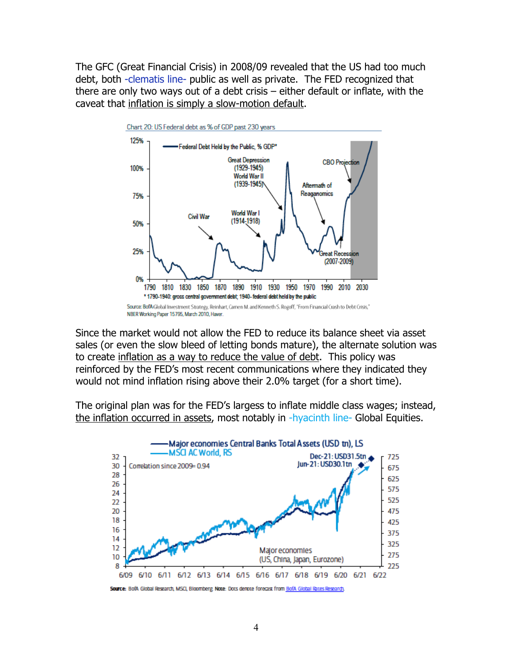The GFC (Great Financial Crisis) in 2008/09 revealed that the US had too much debt, both -clematis line- public as well as private. The FED recognized that there are only two ways out of a debt crisis – either default or inflate, with the caveat that inflation is simply a slow-motion default.



Since the market would not allow the FED to reduce its balance sheet via asset sales (or even the slow bleed of letting bonds mature), the alternate solution was to create inflation as a way to reduce the value of debt. This policy was reinforced by the FED's most recent communications where they indicated they would not mind inflation rising above their 2.0% target (for a short time).

The original plan was for the FED's largess to inflate middle class wages; instead, the inflation occurred in assets, most notably in -hyacinth line- Global Equities.



Source: BofA Global Research, MSCI, Bloomberg, Note: Dots denote forecast from BofA Global Rates Research.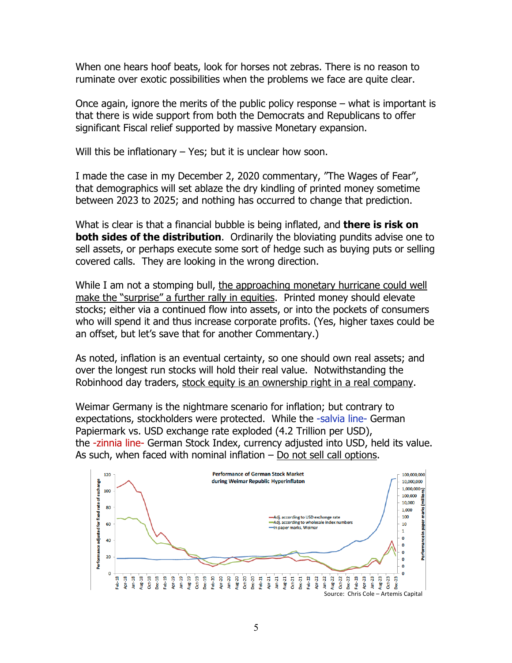When one hears hoof beats, look for horses not zebras. There is no reason to ruminate over exotic possibilities when the problems we face are quite clear.

Once again, ignore the merits of the public policy response – what is important is that there is wide support from both the Democrats and Republicans to offer significant Fiscal relief supported by massive Monetary expansion.

Will this be inflationary  $-$  Yes; but it is unclear how soon.

I made the case in my December 2, 2020 commentary, "The Wages of Fear", that demographics will set ablaze the dry kindling of printed money sometime between 2023 to 2025; and nothing has occurred to change that prediction.

What is clear is that a financial bubble is being inflated, and **there is risk on both sides of the distribution.** Ordinarily the bloviating pundits advise one to sell assets, or perhaps execute some sort of hedge such as buying puts or selling covered calls. They are looking in the wrong direction.

While I am not a stomping bull, the approaching monetary hurricane could well make the "surprise" a further rally in equities. Printed money should elevate stocks; either via a continued flow into assets, or into the pockets of consumers who will spend it and thus increase corporate profits. (Yes, higher taxes could be an offset, but let's save that for another Commentary.)

As noted, inflation is an eventual certainty, so one should own real assets; and over the longest run stocks will hold their real value. Notwithstanding the Robinhood day traders, stock equity is an ownership right in a real company.

Weimar Germany is the nightmare scenario for inflation; but contrary to expectations, stockholders were protected. While the -salvia line- German Papiermark vs. USD exchange rate exploded (4.2 Trillion per USD), the -zinnia line- German Stock Index, currency adjusted into USD, held its value. As such, when faced with nominal inflation – Do not sell call options.

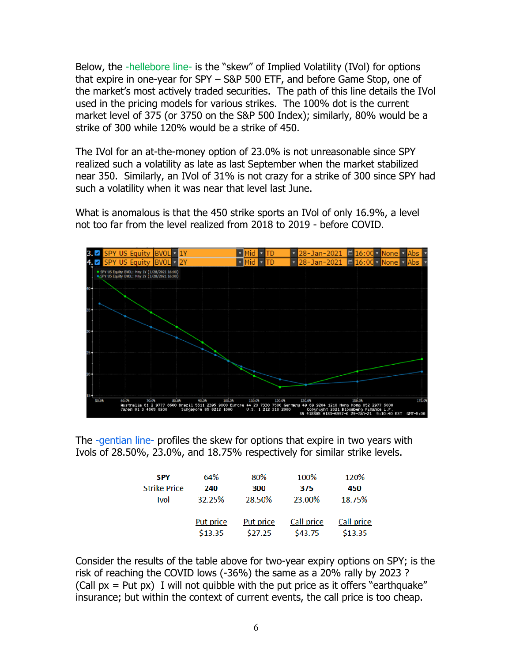Below, the -hellebore line- is the "skew" of Implied Volatility (IVol) for options that expire in one-year for SPY – S&P 500 ETF, and before Game Stop, one of the market's most actively traded securities. The path of this line details the IVol used in the pricing models for various strikes. The 100% dot is the current market level of 375 (or 3750 on the S&P 500 Index); similarly, 80% would be a strike of 300 while 120% would be a strike of 450.

The IVol for an at-the-money option of 23.0% is not unreasonable since SPY realized such a volatility as late as last September when the market stabilized near 350. Similarly, an IVol of 31% is not crazy for a strike of 300 since SPY had such a volatility when it was near that level last June.

What is anomalous is that the 450 strike sports an IVol of only 16.9%, a level not too far from the level realized from 2018 to 2019 - before COVID.



The -gentian line- profiles the skew for options that expire in two years with Ivols of 28.50%, 23.0%, and 18.75% respectively for similar strike levels.

| <b>SPY</b>          | 64%       | 80%              | 100%       | 120%       |
|---------------------|-----------|------------------|------------|------------|
| <b>Strike Price</b> | 240       | 300              | 375        | 450        |
| <b>Ivol</b>         | 32.25%    | 28.50%           | 23.00%     | 18.75%     |
|                     |           |                  |            |            |
|                     | Put price | <b>Put price</b> | Call price | Call price |
|                     | \$13.35   | \$27.25          | \$43.75    | \$13.35    |

Consider the results of the table above for two-year expiry options on SPY; is the risk of reaching the COVID lows (-36%) the same as a 20% rally by 2023 ? (Call  $px = Put px$ ) I will not quibble with the put price as it offers "earthquake" insurance; but within the context of current events, the call price is too cheap.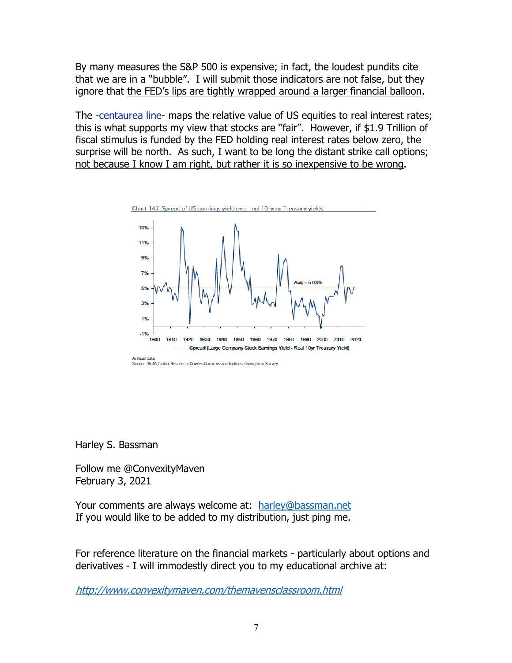By many measures the S&P 500 is expensive; in fact, the loudest pundits cite that we are in a "bubble". I will submit those indicators are not false, but they ignore that the FED's lips are tightly wrapped around a larger financial balloon.

The -centaurea line- maps the relative value of US equities to real interest rates; this is what supports my view that stocks are "fair". However, if \$1.9 Trillion of fiscal stimulus is funded by the FED holding real interest rates below zero, the surprise will be north. As such, I want to be long the distant strike call options; not because I know I am right, but rather it is so inexpensive to be wrong.



Harley S. Bassman

Follow me @ConvexityMaven February 3, 2021

Your comments are always welcome at: harley@bassman.net If you would like to be added to my distribution, just ping me.

For reference literature on the financial markets - particularly about options and derivatives - I will immodestly direct you to my educational archive at:

http://www.convexitymaven.com/themavensclassroom.html